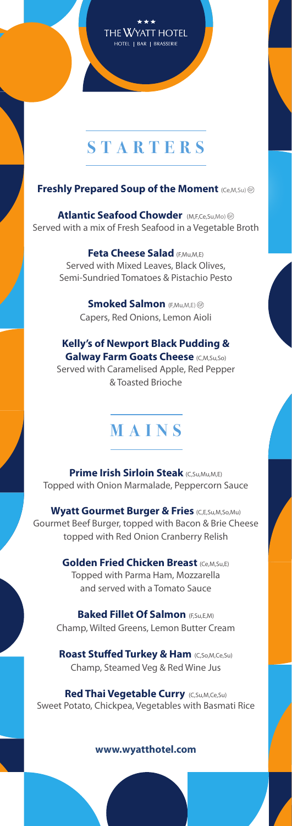## THE WYATT HOTEL HOTEL | BAR | BRASSERIE

# **STARTERS**

### **Freshly Prepared Soup of the Moment (Ce,M,Su) ®**

**Atlantic Seafood Chowder** (M,F,Ce,Su,Mo) Served with a mix of Fresh Seafood in a Vegetable Broth

> **Feta Cheese Salad** (E,Mu,M,E) Served with Mixed Leaves, Black Olives, Semi-Sundried Tomatoes & Pistachio Pesto

> > **Smoked Salmon** (F,Mu,M,E) ® Capers, Red Onions, Lemon Aioli

**Kelly's of Newport Black Pudding & Galway Farm Goats Cheese** (C,M,Su,So) Served with Caramelised Apple, Red Pepper & Toasted Brioche

## **MAINS**

**Prime Irish Sirloin Steak** (C,Su,Mu,M,E) Topped with Onion Marmalade, Peppercorn Sauce

**Wyatt Gourmet Burger & Fries** (C,E,Su,M,So,Mu) Gourmet Beef Burger, topped with Bacon & Brie Cheese topped with Red Onion Cranberry Relish

> **Golden Fried Chicken Breast (Ce,M,Su,E)** Topped with Parma Ham, Mozzarella and served with a Tomato Sauce

**Baked Fillet Of Salmon (ESU,E,M)** Champ, Wilted Greens, Lemon Butter Cream

**Roast Stuffed Turkey & Ham** (C,So,M,Ce,Su) Champ, Steamed Veg & Red Wine Jus

**Red Thai Vegetable Curry (C,Su,M,Ce,Su)** Sweet Potato, Chickpea, Vegetables with Basmati Rice

#### **www.wyatthotel.com**